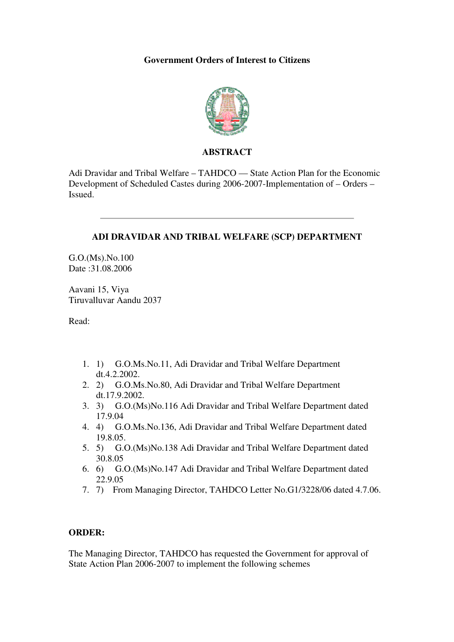### **Government Orders of Interest to Citizens**



#### **ABSTRACT**

Adi Dravidar and Tribal Welfare – TAHDCO –– State Action Plan for the Economic Development of Scheduled Castes during 2006-2007-Implementation of – Orders – Issued.

#### **ADI DRAVIDAR AND TRIBAL WELFARE (SCP) DEPARTMENT**

G.O.(Ms).No.100 Date :31.08.2006

Aavani 15, Viya Tiruvalluvar Aandu 2037

Read:

- 1. 1) G.O.Ms.No.11, Adi Dravidar and Tribal Welfare Department dt.4.2.2002.
- 2. 2) G.O.Ms.No.80, Adi Dravidar and Tribal Welfare Department dt.17.9.2002.
- 3. 3) G.O.(Ms)No.116 Adi Dravidar and Tribal Welfare Department dated 17.9.04
- 4. 4) G.O.Ms.No.136, Adi Dravidar and Tribal Welfare Department dated 19.8.05.
- 5. 5) G.O.(Ms)No.138 Adi Dravidar and Tribal Welfare Department dated 30.8.05
- 6. 6) G.O.(Ms)No.147 Adi Dravidar and Tribal Welfare Department dated 22.9.05
- 7. 7) From Managing Director, TAHDCO Letter No.G1/3228/06 dated 4.7.06.

# **ORDER:**

The Managing Director, TAHDCO has requested the Government for approval of State Action Plan 2006-2007 to implement the following schemes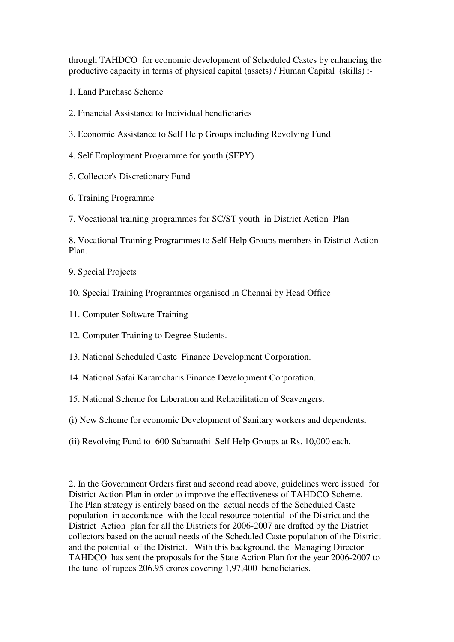through TAHDCO for economic development of Scheduled Castes by enhancing the productive capacity in terms of physical capital (assets) / Human Capital (skills) :-

- 1. Land Purchase Scheme
- 2. Financial Assistance to Individual beneficiaries
- 3. Economic Assistance to Self Help Groups including Revolving Fund
- 4. Self Employment Programme for youth (SEPY)
- 5. Collector's Discretionary Fund
- 6. Training Programme
- 7. Vocational training programmes for SC/ST youth in District Action Plan

8. Vocational Training Programmes to Self Help Groups members in District Action Plan.

- 9. Special Projects
- 10. Special Training Programmes organised in Chennai by Head Office
- 11. Computer Software Training
- 12. Computer Training to Degree Students.
- 13. National Scheduled Caste Finance Development Corporation.
- 14. National Safai Karamcharis Finance Development Corporation.
- 15. National Scheme for Liberation and Rehabilitation of Scavengers.
- (i) New Scheme for economic Development of Sanitary workers and dependents.
- (ii) Revolving Fund to 600 Subamathi Self Help Groups at Rs. 10,000 each.

2. In the Government Orders first and second read above, guidelines were issued for District Action Plan in order to improve the effectiveness of TAHDCO Scheme. The Plan strategy is entirely based on the actual needs of the Scheduled Caste population in accordance with the local resource potential of the District and the District Action plan for all the Districts for 2006-2007 are drafted by the District collectors based on the actual needs of the Scheduled Caste population of the District and the potential of the District. With this background, the Managing Director TAHDCO has sent the proposals for the State Action Plan for the year 2006-2007 to the tune of rupees 206.95 crores covering 1,97,400 beneficiaries.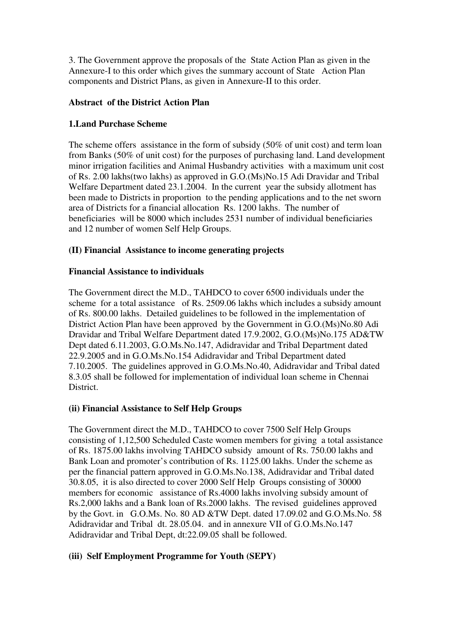3. The Government approve the proposals of the State Action Plan as given in the Annexure-I to this order which gives the summary account of State Action Plan components and District Plans, as given in Annexure-II to this order.

# **Abstract of the District Action Plan**

### **1.Land Purchase Scheme**

The scheme offers assistance in the form of subsidy (50% of unit cost) and term loan from Banks (50% of unit cost) for the purposes of purchasing land. Land development minor irrigation facilities and Animal Husbandry activities with a maximum unit cost of Rs. 2.00 lakhs(two lakhs) as approved in G.O.(Ms)No.15 Adi Dravidar and Tribal Welfare Department dated 23.1.2004. In the current year the subsidy allotment has been made to Districts in proportion to the pending applications and to the net sworn area of Districts for a financial allocation Rs. 1200 lakhs. The number of beneficiaries will be 8000 which includes 2531 number of individual beneficiaries and 12 number of women Self Help Groups.

# **(II) Financial Assistance to income generating projects**

### **Financial Assistance to individuals**

The Government direct the M.D., TAHDCO to cover 6500 individuals under the scheme for a total assistance of Rs. 2509.06 lakhs which includes a subsidy amount of Rs. 800.00 lakhs. Detailed guidelines to be followed in the implementation of District Action Plan have been approved by the Government in G.O.(Ms)No.80 Adi Dravidar and Tribal Welfare Department dated 17.9.2002, G.O.(Ms)No.175 AD&TW Dept dated 6.11.2003, G.O.Ms.No.147, Adidravidar and Tribal Department dated 22.9.2005 and in G.O.Ms.No.154 Adidravidar and Tribal Department dated 7.10.2005. The guidelines approved in G.O.Ms.No.40, Adidravidar and Tribal dated 8.3.05 shall be followed for implementation of individual loan scheme in Chennai District.

# **(ii) Financial Assistance to Self Help Groups**

The Government direct the M.D., TAHDCO to cover 7500 Self Help Groups consisting of 1,12,500 Scheduled Caste women members for giving a total assistance of Rs. 1875.00 lakhs involving TAHDCO subsidy amount of Rs. 750.00 lakhs and Bank Loan and promoter's contribution of Rs. 1125.00 lakhs. Under the scheme as per the financial pattern approved in G.O.Ms.No.138, Adidravidar and Tribal dated 30.8.05, it is also directed to cover 2000 Self Help Groups consisting of 30000 members for economic assistance of Rs.4000 lakhs involving subsidy amount of Rs.2,000 lakhs and a Bank loan of Rs.2000 lakhs. The revised guidelines approved by the Govt. in G.O.Ms. No. 80 AD &TW Dept. dated 17.09.02 and G.O.Ms.No. 58 Adidravidar and Tribal dt. 28.05.04. and in annexure VII of G.O.Ms.No.147 Adidravidar and Tribal Dept, dt:22.09.05 shall be followed.

# **(iii) Self Employment Programme for Youth (SEPY)**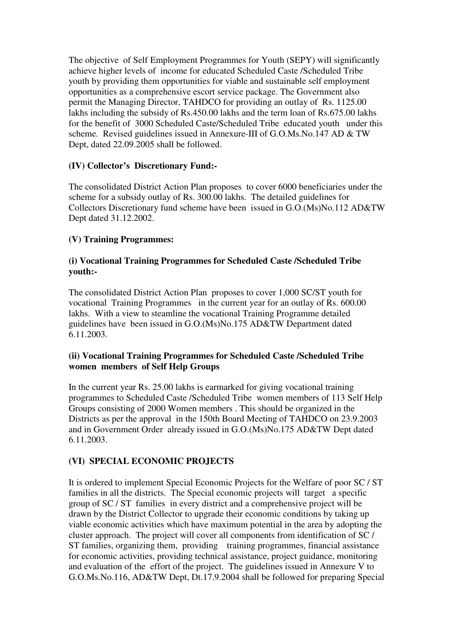The objective of Self Employment Programmes for Youth (SEPY) will significantly achieve higher levels of income for educated Scheduled Caste /Scheduled Tribe youth by providing them opportunities for viable and sustainable self employment opportunities as a comprehensive escort service package. The Government also permit the Managing Director, TAHDCO for providing an outlay of Rs. 1125.00 lakhs including the subsidy of Rs.450.00 lakhs and the term loan of Rs.675.00 lakhs for the benefit of 3000 Scheduled Caste/Scheduled Tribe educated youth under this scheme. Revised guidelines issued in Annexure-III of G.O.Ms.No.147 AD & TW Dept, dated 22.09.2005 shall be followed.

# **(IV) Collector's Discretionary Fund:-**

The consolidated District Action Plan proposes to cover 6000 beneficiaries under the scheme for a subsidy outlay of Rs. 300.00 lakhs. The detailed guidelines for Collectors Discretionary fund scheme have been issued in G.O.(Ms)No.112 AD&TW Dept dated 31.12.2002.

# **(V) Training Programmes:**

### **(i) Vocational Training Programmes for Scheduled Caste /Scheduled Tribe youth:-**

The consolidated District Action Plan proposes to cover 1,000 SC/ST youth for vocational Training Programmes in the current year for an outlay of Rs. 600.00 lakhs. With a view to steamline the vocational Training Programme detailed guidelines have been issued in G.O.(Ms)No.175 AD&TW Department dated 6.11.2003.

# **(ii) Vocational Training Programmes for Scheduled Caste /Scheduled Tribe women members of Self Help Groups**

In the current year Rs. 25.00 lakhs is earmarked for giving vocational training programmes to Scheduled Caste /Scheduled Tribe women members of 113 Self Help Groups consisting of 2000 Women members . This should be organized in the Districts as per the approval in the 150th Board Meeting of TAHDCO on 23.9.2003 and in Government Order already issued in G.O.(Ms)No.175 AD&TW Dept dated 6.11.2003.

# **(VI) SPECIAL ECONOMIC PROJECTS**

It is ordered to implement Special Economic Projects for the Welfare of poor SC / ST families in all the districts. The Special economic projects will target a specific group of SC / ST families in every district and a comprehensive project will be drawn by the District Collector to upgrade their economic conditions by taking up viable economic activities which have maximum potential in the area by adopting the cluster approach. The project will cover all components from identification of SC / ST families, organizing them, providing training programmes, financial assistance for economic activities, providing technical assistance, project guidance, monitoring and evaluation of the effort of the project. The guidelines issued in Annexure V to G.O.Ms.No.116, AD&TW Dept, Dt.17.9.2004 shall be followed for preparing Special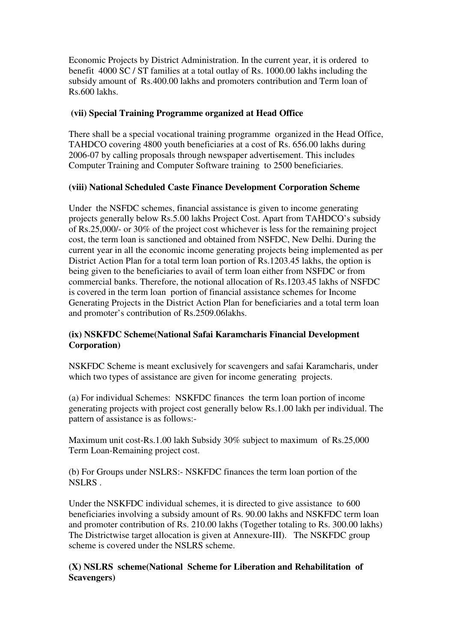Economic Projects by District Administration. In the current year, it is ordered to benefit 4000 SC / ST families at a total outlay of Rs. 1000.00 lakhs including the subsidy amount of Rs.400.00 lakhs and promoters contribution and Term loan of Rs.600 lakhs.

# **(vii) Special Training Programme organized at Head Office**

There shall be a special vocational training programme organized in the Head Office, TAHDCO covering 4800 youth beneficiaries at a cost of Rs. 656.00 lakhs during 2006-07 by calling proposals through newspaper advertisement. This includes Computer Training and Computer Software training to 2500 beneficiaries.

### **(viii) National Scheduled Caste Finance Development Corporation Scheme**

Under the NSFDC schemes, financial assistance is given to income generating projects generally below Rs.5.00 lakhs Project Cost. Apart from TAHDCO's subsidy of Rs.25,000/- or 30% of the project cost whichever is less for the remaining project cost, the term loan is sanctioned and obtained from NSFDC, New Delhi. During the current year in all the economic income generating projects being implemented as per District Action Plan for a total term loan portion of Rs.1203.45 lakhs, the option is being given to the beneficiaries to avail of term loan either from NSFDC or from commercial banks. Therefore, the notional allocation of Rs.1203.45 lakhs of NSFDC is covered in the term loan portion of financial assistance schemes for Income Generating Projects in the District Action Plan for beneficiaries and a total term loan and promoter's contribution of Rs.2509.06lakhs.

# **(ix) NSKFDC Scheme(National Safai Karamcharis Financial Development Corporation)**

NSKFDC Scheme is meant exclusively for scavengers and safai Karamcharis, under which two types of assistance are given for income generating projects.

(a) For individual Schemes: NSKFDC finances the term loan portion of income generating projects with project cost generally below Rs.1.00 lakh per individual. The pattern of assistance is as follows:-

Maximum unit cost-Rs.1.00 lakh Subsidy 30% subject to maximum of Rs.25,000 Term Loan-Remaining project cost.

(b) For Groups under NSLRS:- NSKFDC finances the term loan portion of the NSLRS .

Under the NSKFDC individual schemes, it is directed to give assistance to 600 beneficiaries involving a subsidy amount of Rs. 90.00 lakhs and NSKFDC term loan and promoter contribution of Rs. 210.00 lakhs (Together totaling to Rs. 300.00 lakhs) The Districtwise target allocation is given at Annexure-III). The NSKFDC group scheme is covered under the NSLRS scheme.

# **(X) NSLRS scheme(National Scheme for Liberation and Rehabilitation of Scavengers)**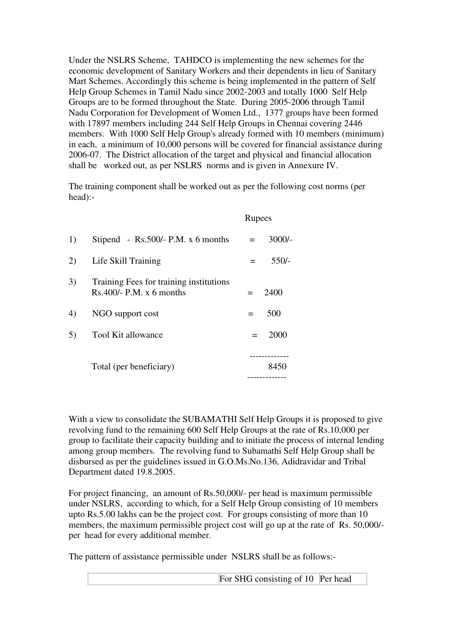Under the NSLRS Scheme, TAHDCO is implementing the new schemes for the economic development of Sanitary Workers and their dependents in lieu of Sanitary Mart Schemes. Accordingly this scheme is being implemented in the pattern of Self Help Group Schemes in Tamil Nadu since 2002-2003 and totally 1000 Self Help Groups are to be formed throughout the State. During 2005-2006 through Tamil Nadu Corporation for Development of Women Ltd., 1377 groups have been formed with 17897 members including 244 Self Help Groups in Chennai covering 2446 members. With 1000 Self Help Group's already formed with 10 members (minimum) in each, a minimum of 10,000 persons will be covered for financial assistance during 2006-07. The District allocation of the target and physical and financial allocation shall be worked out, as per NSLRS norms and is given in Annexure IV.

The training component shall be worked out as per the following cost norms (per head):-

|    |                                                                       | Rupees          |  |
|----|-----------------------------------------------------------------------|-----------------|--|
| 1) | Stipend - Rs. $500/-$ P.M. x 6 months                                 | $3000/-$<br>$=$ |  |
| 2) | Life Skill Training                                                   | $550/-$         |  |
| 3) | Training Fees for training institutions<br>$Rs.400/- P.M. x 6 months$ | 2400<br>$=$     |  |
| 4) | NGO support cost                                                      | 500<br>$=$      |  |
| 5) | Tool Kit allowance                                                    | 2000<br>$=$     |  |
|    | Total (per beneficiary)                                               | 8450            |  |

With a view to consolidate the SUBAMATHI Self Help Groups it is proposed to give revolving fund to the remaining 600 Self Help Groups at the rate of Rs.10,000 per group to facilitate their capacity building and to initiate the process of internal lending among group members. The revolving fund to Subamathi Self Help Group shall be disbursed as per the guidelines issued in G.O.Ms.No.136, Adidravidar and Tribal Department dated 19.8.2005.

For project financing, an amount of Rs.50,000/- per head is maximum permissible under NSLRS, according to which, for a Self Help Group consisting of 10 members upto Rs.5.00 lakhs can be the project cost. For groups consisting of more than 10 members, the maximum permissible project cost will go up at the rate of Rs. 50,000/ per head for every additional member.

The pattern of assistance permissible under NSLRS shall be as follows:-

For SHG consisting of 10 Per head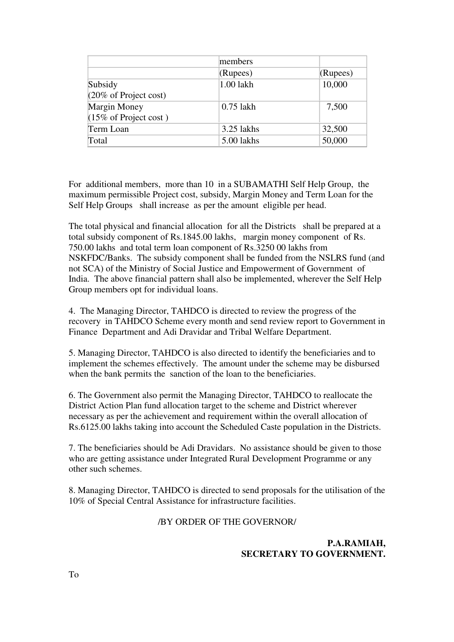|                                  | members     |          |
|----------------------------------|-------------|----------|
|                                  | (Rupees)    | (Rupees) |
| Subsidy                          | 1.00 lakh   | 10,000   |
| $(20\% \text{ of Project cost})$ |             |          |
| Margin Money                     | $0.75$ lakh | 7,500    |
| $(15\% \text{ of Project cost})$ |             |          |
| Term Loan                        | 3.25 lakhs  | 32,500   |
| Total                            | 5.00 lakhs  | 50,000   |

For additional members, more than 10 in a SUBAMATHI Self Help Group, the maximum permissible Project cost, subsidy, Margin Money and Term Loan for the Self Help Groups shall increase as per the amount eligible per head.

The total physical and financial allocation for all the Districts shall be prepared at a total subsidy component of Rs.1845.00 lakhs, margin money component of Rs. 750.00 lakhs and total term loan component of Rs.3250 00 lakhs from NSKFDC/Banks. The subsidy component shall be funded from the NSLRS fund (and not SCA) of the Ministry of Social Justice and Empowerment of Government of India. The above financial pattern shall also be implemented, wherever the Self Help Group members opt for individual loans.

4. The Managing Director, TAHDCO is directed to review the progress of the recovery in TAHDCO Scheme every month and send review report to Government in Finance Department and Adi Dravidar and Tribal Welfare Department.

5. Managing Director, TAHDCO is also directed to identify the beneficiaries and to implement the schemes effectively. The amount under the scheme may be disbursed when the bank permits the sanction of the loan to the beneficiaries.

6. The Government also permit the Managing Director, TAHDCO to reallocate the District Action Plan fund allocation target to the scheme and District wherever necessary as per the achievement and requirement within the overall allocation of Rs.6125.00 lakhs taking into account the Scheduled Caste population in the Districts.

7. The beneficiaries should be Adi Dravidars. No assistance should be given to those who are getting assistance under Integrated Rural Development Programme or any other such schemes.

8. Managing Director, TAHDCO is directed to send proposals for the utilisation of the 10% of Special Central Assistance for infrastructure facilities.

#### /BY ORDER OF THE GOVERNOR/

### **P.A.RAMIAH, SECRETARY TO GOVERNMENT.**